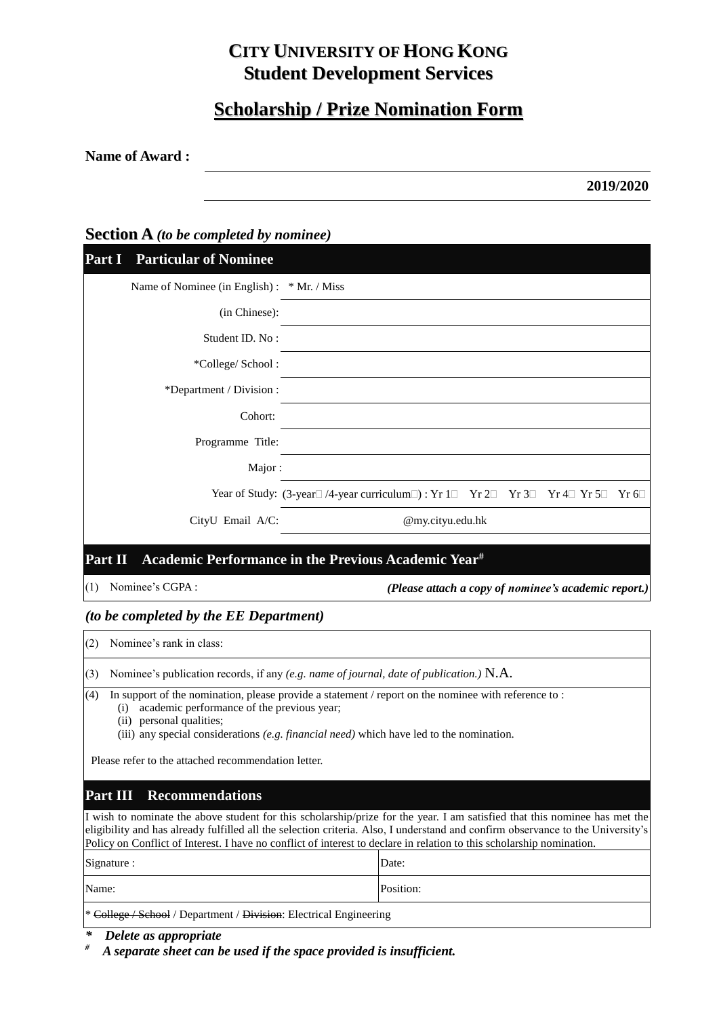# **CITY UNIVERSITY OF HONG KONG Student Development Services**

# **Scholarship / Prize Nomination Form**

**Name of Award :**

**2019/2020**

### **Section A** *(to be completed by nominee)*

| <b>Part I</b> Particular of Nominee         |                                                                                               |
|---------------------------------------------|-----------------------------------------------------------------------------------------------|
| Name of Nominee (in English) : * Mr. / Miss |                                                                                               |
| (in Chinese):                               |                                                                                               |
| Student ID. No:                             |                                                                                               |
| *College/ School :                          |                                                                                               |
| *Department / Division :                    |                                                                                               |
| Cohort:                                     |                                                                                               |
| Programme Title:                            |                                                                                               |
| Major:                                      |                                                                                               |
|                                             | Year of Study: (3-year   /4-year curriculum     : Yr 1   Yr 2   Yr 3   Yr 4   Yr 5   Yr 6   < |
| CityU Email A/C:                            | @my.cityu.edu.hk                                                                              |
|                                             |                                                                                               |
| Part II                                     | Academic Performance in the Previous Academic Year <sup>#</sup>                               |
| (1)<br>Nominee's CGPA:                      | (Please attach a copy of nominee's academic report.)                                          |

### *(to be completed by the EE Department)*

(2) Nominee's rank in class:

(3) Nominee's publication records, if any *(e.g. name of journal, date of publication.)* N.A.

(4) In support of the nomination, please provide a statement / report on the nominee with reference to :

(i) academic performance of the previous year;

(ii) personal qualities;

(iii) any special considerations *(e.g. financial need)* which have led to the nomination.

Please refer to the attached recommendation letter.

## **Part III Recommendations**

I wish to nominate the above student for this scholarship/prize for the year. I am satisfied that this nominee has met the eligibility and has already fulfilled all the selection criteria. Also, I understand and confirm observance to the University's Policy on Conflict of Interest. I have no conflict of interest to declare in relation to this scholarship nomination.

| Signature :                                                        | Date:     |
|--------------------------------------------------------------------|-----------|
| Name:                                                              | Position: |
| * College / School / Department / Division: Electrical Engineering |           |

*\* Delete as appropriate*

*# A separate sheet can be used if the space provided is insufficient.*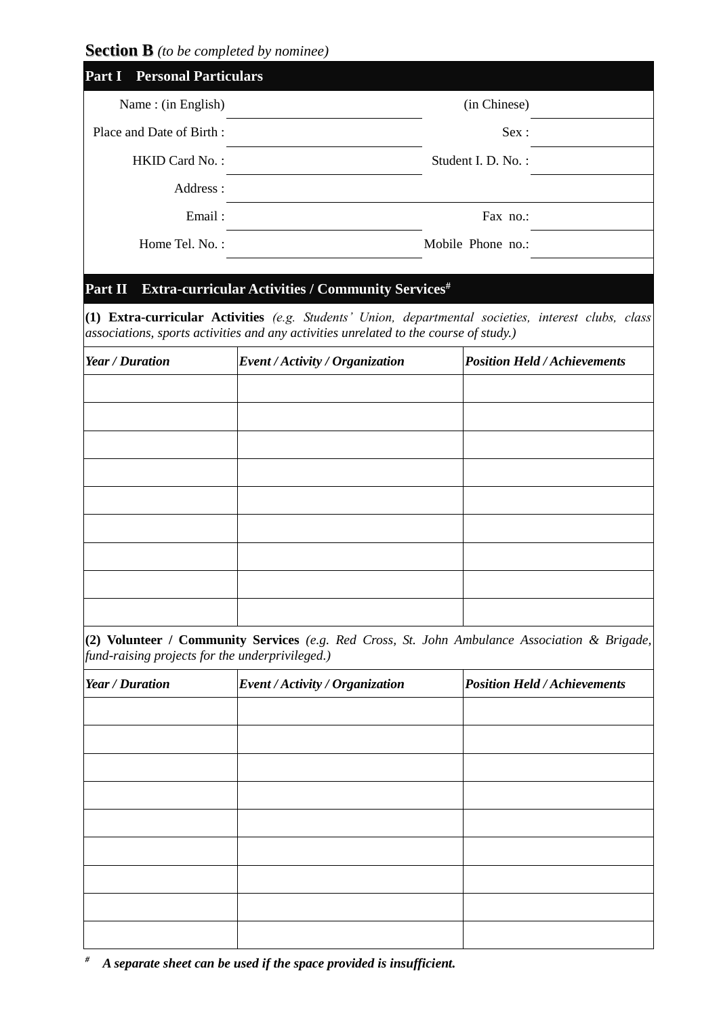**Section B** *(to be completed by nominee)*

| <b>Personal Particulars</b><br>Part I           |                                                                                               |                                                                                                      |
|-------------------------------------------------|-----------------------------------------------------------------------------------------------|------------------------------------------------------------------------------------------------------|
| Name: (in English)                              |                                                                                               | (in Chinese)                                                                                         |
| Place and Date of Birth:                        |                                                                                               | Sex:                                                                                                 |
| HKID Card No.:                                  |                                                                                               | Student I. D. No.:                                                                                   |
| Address:                                        |                                                                                               |                                                                                                      |
| Email:                                          | Fax no.:                                                                                      |                                                                                                      |
| Home Tel. No.:                                  |                                                                                               | Mobile Phone no.:                                                                                    |
|                                                 | associations, sports activities and any activities unrelated to the course of study.)         | (1) Extra-curricular Activities (e.g. Students' Union, departmental societies, interest clubs, class |
| Year / Duration                                 | Event / Activity / Organization                                                               | <b>Position Held / Achievements</b>                                                                  |
|                                                 |                                                                                               |                                                                                                      |
|                                                 |                                                                                               |                                                                                                      |
|                                                 |                                                                                               |                                                                                                      |
|                                                 |                                                                                               |                                                                                                      |
|                                                 |                                                                                               |                                                                                                      |
|                                                 |                                                                                               |                                                                                                      |
|                                                 |                                                                                               |                                                                                                      |
|                                                 |                                                                                               |                                                                                                      |
|                                                 |                                                                                               |                                                                                                      |
|                                                 | (2) Volunteer / Community Services (e.g. Red Cross, St. John Ambulance Association & Brigade, |                                                                                                      |
| fund-raising projects for the underprivileged.) |                                                                                               |                                                                                                      |

| Year / Duration | Event / Activity / Organization | <b>Position Held / Achievements</b> |
|-----------------|---------------------------------|-------------------------------------|
|                 |                                 |                                     |
|                 |                                 |                                     |
|                 |                                 |                                     |
|                 |                                 |                                     |
|                 |                                 |                                     |
|                 |                                 |                                     |
|                 |                                 |                                     |
|                 |                                 |                                     |
|                 |                                 |                                     |

*# A separate sheet can be used if the space provided is insufficient.*